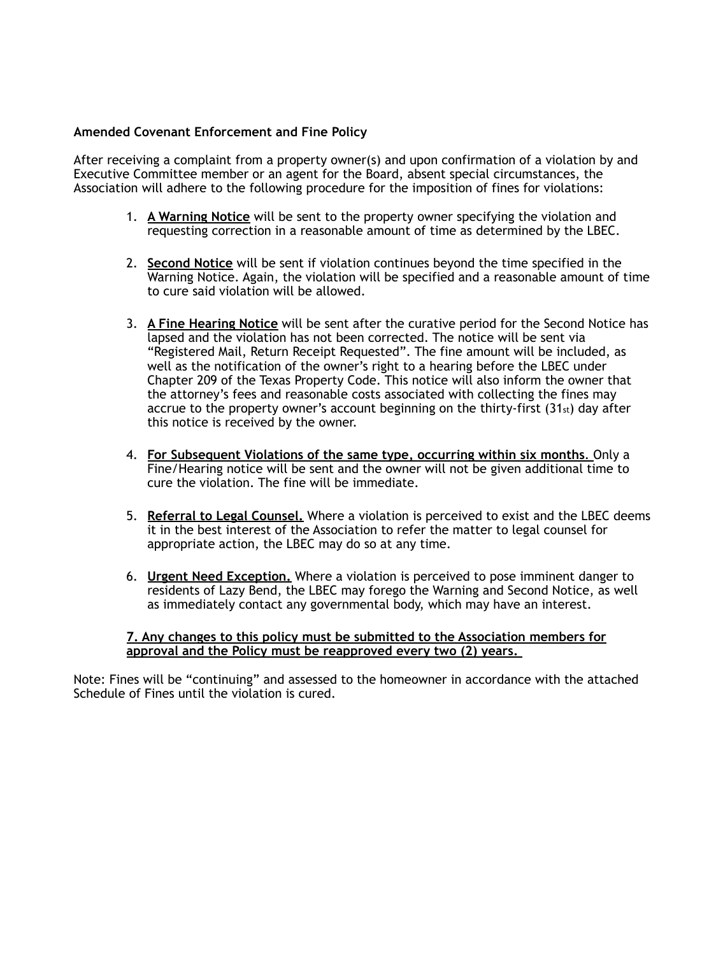## **Amended Covenant Enforcement and Fine Policy**

After receiving a complaint from a property owner(s) and upon confirmation of a violation by and Executive Committee member or an agent for the Board, absent special circumstances, the Association will adhere to the following procedure for the imposition of fines for violations:

- 1. **A Warning Notice** will be sent to the property owner specifying the violation and requesting correction in a reasonable amount of time as determined by the LBEC.
- 2. **Second Notice** will be sent if violation continues beyond the time specified in the Warning Notice. Again, the violation will be specified and a reasonable amount of time to cure said violation will be allowed.
- 3. **A Fine Hearing Notice** will be sent after the curative period for the Second Notice has lapsed and the violation has not been corrected. The notice will be sent via "Registered Mail, Return Receipt Requested". The fine amount will be included, as well as the notification of the owner's right to a hearing before the LBEC under Chapter 209 of the Texas Property Code. This notice will also inform the owner that the attorney's fees and reasonable costs associated with collecting the fines may accrue to the property owner's account beginning on the thirty-first  $(31<sub>st</sub>)$  day after this notice is received by the owner.
- 4. **For Subsequent Violations of the same type, occurring within six months**. Only a Fine/Hearing notice will be sent and the owner will not be given additional time to cure the violation. The fine will be immediate.
- 5. **Referral to Legal Counsel.** Where a violation is perceived to exist and the LBEC deems it in the best interest of the Association to refer the matter to legal counsel for appropriate action, the LBEC may do so at any time.
- 6. **Urgent Need Exception.** Where a violation is perceived to pose imminent danger to residents of Lazy Bend, the LBEC may forego the Warning and Second Notice, as well as immediately contact any governmental body, which may have an interest.

## **7. Any changes to this policy must be submitted to the Association members for approval and the Policy must be reapproved every two (2) years.**

Note: Fines will be "continuing" and assessed to the homeowner in accordance with the attached Schedule of Fines until the violation is cured.